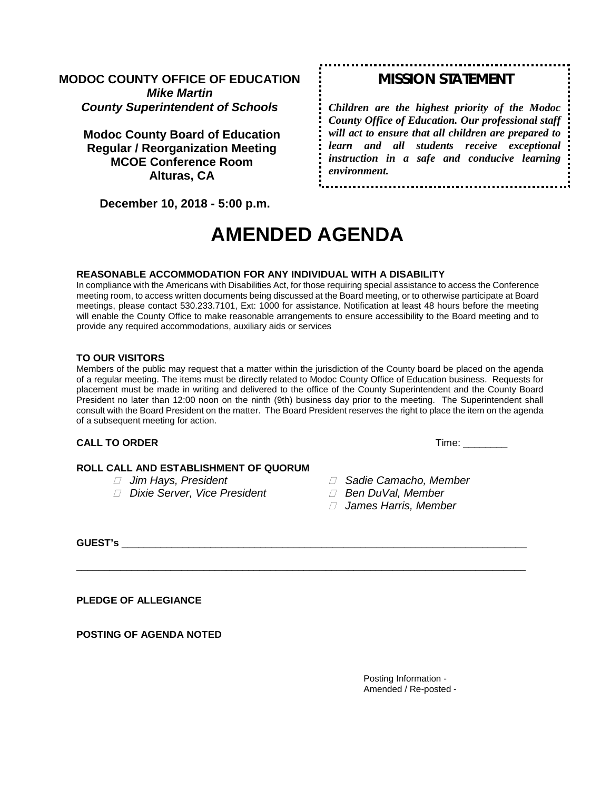# **MODOC COUNTY OFFICE OF EDUCATION** *Mike Martin County Superintendent of Schools*

**Modoc County Board of Education Regular / Reorganization Meeting MCOE Conference Room Alturas, CA**

# *MISSION STATEMENT*

*Children are the highest priority of the Modoc County Office of Education. Our professional staff will act to ensure that all children are prepared to learn and all students receive exceptional instruction in a safe and conducive learning environment.*

 **December 10, 2018 - 5:00 p.m.** 

# **AMENDED AGENDA**

#### **REASONABLE ACCOMMODATION FOR ANY INDIVIDUAL WITH A DISABILITY**

In compliance with the Americans with Disabilities Act, for those requiring special assistance to access the Conference meeting room, to access written documents being discussed at the Board meeting, or to otherwise participate at Board meetings, please contact 530.233.7101, Ext: 1000 for assistance. Notification at least 48 hours before the meeting will enable the County Office to make reasonable arrangements to ensure accessibility to the Board meeting and to provide any required accommodations, auxiliary aids or services

#### **TO OUR VISITORS**

Members of the public may request that a matter within the jurisdiction of the County board be placed on the agenda of a regular meeting. The items must be directly related to Modoc County Office of Education business. Requests for placement must be made in writing and delivered to the office of the County Superintendent and the County Board President no later than 12:00 noon on the ninth (9th) business day prior to the meeting. The Superintendent shall consult with the Board President on the matter. The Board President reserves the right to place the item on the agenda of a subsequent meeting for action.

\_\_\_\_\_\_\_\_\_\_\_\_\_\_\_\_\_\_\_\_\_\_\_\_\_\_\_\_\_\_\_\_\_\_\_\_\_\_\_\_\_\_\_\_\_\_\_\_\_\_\_\_\_\_\_\_\_\_\_\_\_\_\_\_\_\_\_\_\_\_\_\_\_\_\_\_\_\_\_\_\_

# **CALL TO ORDER** Time: \_\_\_\_\_\_\_\_

# **ROLL CALL AND ESTABLISHMENT OF QUORUM**

- 
- *Dixie Server, Vice President Ben DuVal, Member*
- *Jim Hays, President Sadie Camacho, Member*
	-
	- *James Harris, Member*

**GUEST's** \_\_\_\_\_\_\_\_\_\_\_\_\_\_\_\_\_\_\_\_\_\_\_\_\_\_\_\_\_\_\_\_\_\_\_\_\_\_\_\_\_\_\_\_\_\_\_\_\_\_\_\_\_\_\_\_\_\_\_\_\_\_\_\_\_\_\_\_\_\_\_\_\_

**PLEDGE OF ALLEGIANCE**

**POSTING OF AGENDA NOTED**

Posting Information - Amended / Re-posted -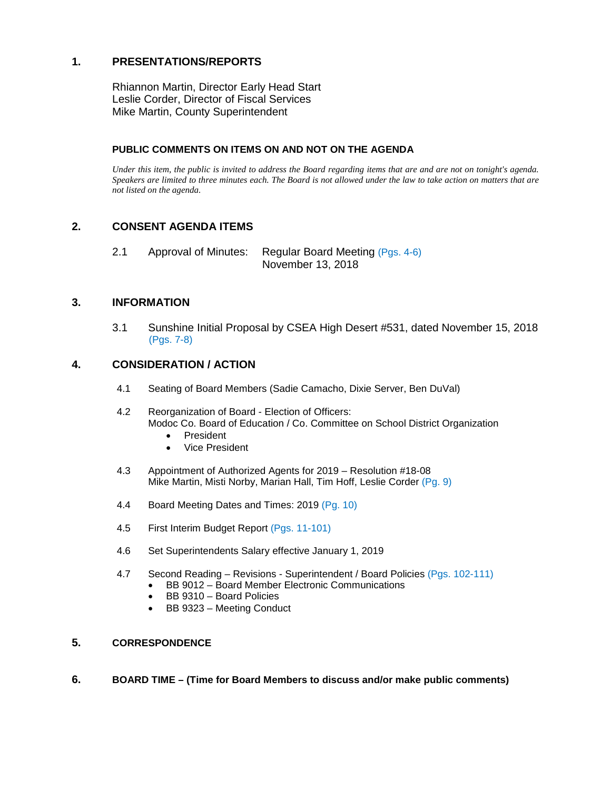# **1. PRESENTATIONS/REPORTS**

Rhiannon Martin, Director Early Head Start Leslie Corder, Director of Fiscal Services Mike Martin, County Superintendent

#### **PUBLIC COMMENTS ON ITEMS ON AND NOT ON THE AGENDA**

*Under this item, the public is invited to address the Board regarding items that are and are not on tonight's agenda. Speakers are limited to three minutes each. The Board is not allowed under the law to take action on matters that are not listed on the agenda.*

## **2. CONSENT AGENDA ITEMS**

2.1 Approval of Minutes: Regular Board Meeting (Pgs. 4-6) November 13, 2018

### **3. INFORMATION**

3.1 Sunshine Initial Proposal by CSEA High Desert #531, dated November 15, 2018 (Pgs. 7-8)

#### **4. CONSIDERATION / ACTION**

- 4.1 Seating of Board Members (Sadie Camacho, Dixie Server, Ben DuVal)
- 4.2 Reorganization of Board Election of Officers: Modoc Co. Board of Education / Co. Committee on School District Organization
	- President
	- Vice President
- 4.3 Appointment of Authorized Agents for 2019 Resolution #18-08 Mike Martin, Misti Norby, Marian Hall, Tim Hoff, Leslie Corder (Pg. 9)
- 4.4 Board Meeting Dates and Times: 2019 (Pg. 10)
- 4.5 First Interim Budget Report (Pgs. 11-101)
- 4.6 Set Superintendents Salary effective January 1, 2019
- 4.7 Second Reading Revisions Superintendent / Board Policies (Pgs. 102-111)
	- BB 9012 Board Member Electronic Communications
	- BB 9310 Board Policies
	- BB 9323 Meeting Conduct

#### **5. CORRESPONDENCE**

**6. BOARD TIME – (Time for Board Members to discuss and/or make public comments)**